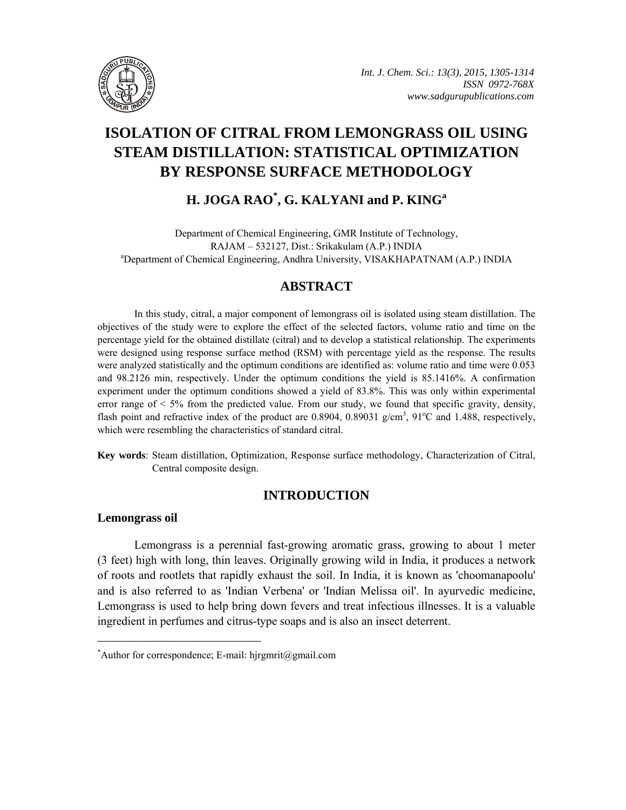

# **ISOLATION OF CITRAL FROM LEMONGRASS OIL USING STEAM DISTILLATION: STATISTICAL OPTIMIZATION BY RESPONSE SURFACE METHODOLOGY**

**H. JOGA RAO\* , G. KALYANI and P. KING<sup>a</sup>**

Department of Chemical Engineering, GMR Institute of Technology, RAJAM – 532127, Dist.: Srikakulam (A.P.) INDIA <sup>a</sup>Department of Chemical Engineering, Andhra University, VISAKHAPATNAM (A.P.) INDIA

# **ABSTRACT**

In this study, citral, a major component of lemongrass oil is isolated using steam distillation. The objectives of the study were to explore the effect of the selected factors, volume ratio and time on the percentage yield for the obtained distillate (citral) and to develop a statistical relationship. The experiments were designed using response surface method (RSM) with percentage yield as the response. The results were analyzed statistically and the optimum conditions are identified as: volume ratio and time were 0.053 and 98.2126 min, respectively. Under the optimum conditions the yield is 85.1416%. A confirmation experiment under the optimum conditions showed a yield of 83.8%. This was only within experimental error range of  $\leq 5\%$  from the predicted value. From our study, we found that specific gravity, density, flash point and refractive index of the product are 0.8904, 0.89031  $g/cm<sup>3</sup>$ , 91<sup>o</sup>C and 1.488, respectively, which were resembling the characteristics of standard citral.

**Key words**: Steam distillation, Optimization, Response surface methodology, Characterization of Citral, Central composite design.

# **INTRODUCTION**

### **Lemongrass oil**

Lemongrass is a perennial fast-growing aromatic grass, growing to about 1 meter (3 feet) high with long, thin leaves. Originally growing wild in India, it produces a network of roots and rootlets that rapidly exhaust the soil. In India, it is known as 'choomanapoolu' and is also referred to as 'Indian Verbena' or 'Indian Melissa oil'. In ayurvedic medicine, Lemongrass is used to help bring down fevers and treat infectious illnesses. It is a valuable ingredient in perfumes and citrus-type soaps and is also an insect deterrent.

**\_\_\_\_\_\_\_\_\_\_\_\_\_\_\_\_\_\_\_\_\_\_\_\_\_\_\_\_\_\_\_\_\_\_\_\_\_\_\_\_**

<sup>\*</sup> Author for correspondence; E-mail: hjrgmrit@gmail.com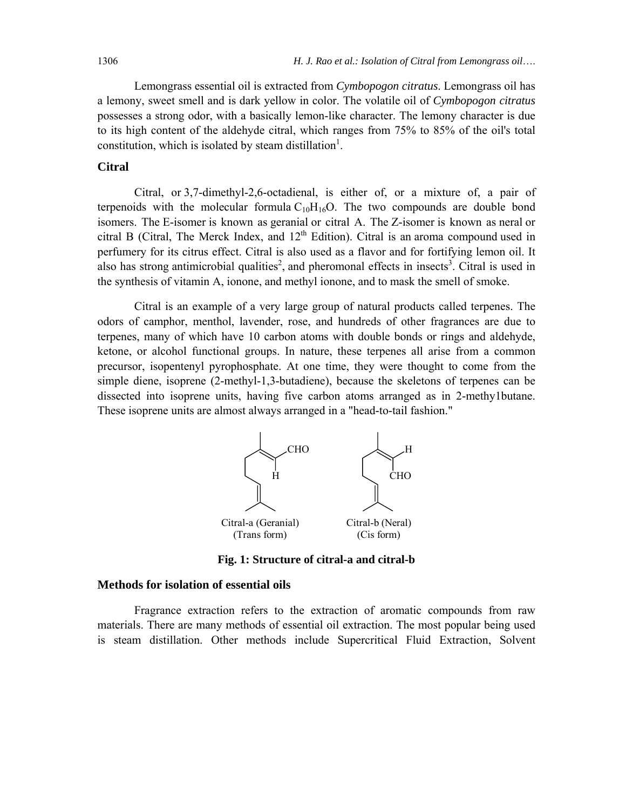Lemongrass essential oil is extracted from *Cymbopogon citratus*. Lemongrass oil has a lemony, sweet smell and is dark yellow in color. The volatile oil of *Cymbopogon citratus* possesses a strong odor, with a basically lemon-like character. The lemony character is due to its high content of the aldehyde citral, which ranges from 75% to 85% of the oil's total constitution, which is isolated by steam distillation<sup>1</sup>.

#### **Citral**

Citral, or 3,7-dimethyl-2,6-octadienal, is either of, or a mixture of, a pair of terpenoids with the molecular formula  $C_{10}H_{16}O$ . The two compounds are double bond isomers. The E-isomer is known as geranial or citral A. The Z-isomer is known as neral or citral B (Citral, The Merck Index, and  $12<sup>th</sup>$  Edition). Citral is an aroma compound used in perfumery for its citrus effect. Citral is also used as a flavor and for fortifying lemon oil. It also has strong antimicrobial qualities<sup>2</sup>, and pheromonal effects in insects<sup>3</sup>. Citral is used in the synthesis of vitamin A, ionone, and methyl ionone, and to mask the smell of smoke.

Citral is an example of a very large group of natural products called terpenes. The odors of camphor, menthol, lavender, rose, and hundreds of other fragrances are due to terpenes, many of which have 10 carbon atoms with double bonds or rings and aldehyde, ketone, or alcohol functional groups. In nature, these terpenes all arise from a common precursor, isopentenyl pyrophosphate. At one time, they were thought to come from the simple diene, isoprene (2-methyl-1,3-butadiene), because the skeletons of terpenes can be dissected into isoprene units, having five carbon atoms arranged as in 2-methy1butane. These isoprene units are almost always arranged in a "head-to-tail fashion."



**Fig. 1: Structure of citral-a and citral-b** 

#### **Methods for isolation of essential oils**

Fragrance extraction refers to the extraction of aromatic compounds from raw materials. There are many methods of essential oil extraction. The most popular being used is steam distillation. Other methods include Supercritical Fluid Extraction, Solvent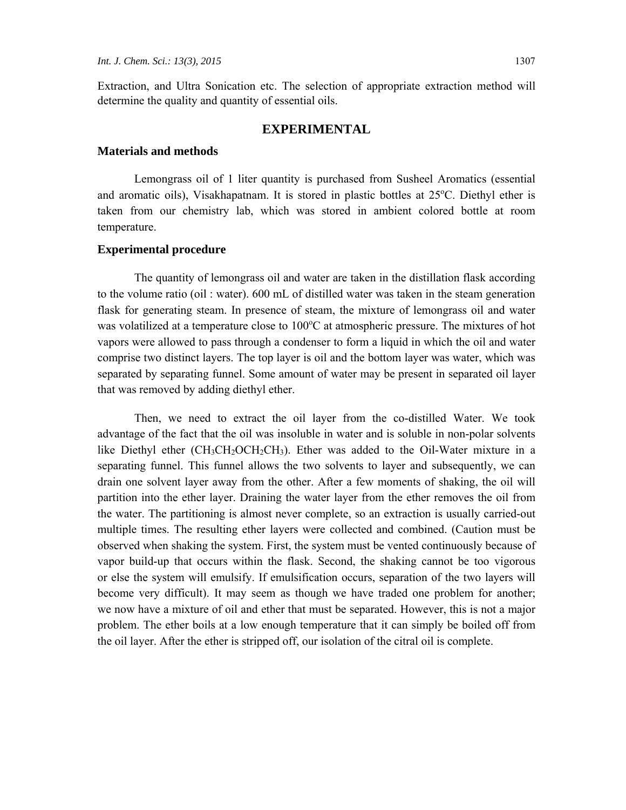Extraction, and Ultra Sonication etc. The selection of appropriate extraction method will determine the quality and quantity of essential oils.

#### **EXPERIMENTAL**

#### **Materials and methods**

Lemongrass oil of 1 liter quantity is purchased from Susheel Aromatics (essential and aromatic oils), Visakhapatnam. It is stored in plastic bottles at 25°C. Diethyl ether is taken from our chemistry lab, which was stored in ambient colored bottle at room temperature.

#### **Experimental procedure**

The quantity of lemongrass oil and water are taken in the distillation flask according to the volume ratio (oil : water). 600 mL of distilled water was taken in the steam generation flask for generating steam. In presence of steam, the mixture of lemongrass oil and water was volatilized at a temperature close to  $100^{\circ}$ C at atmospheric pressure. The mixtures of hot vapors were allowed to pass through a condenser to form a liquid in which the oil and water comprise two distinct layers. The top layer is oil and the bottom layer was water, which was separated by separating funnel. Some amount of water may be present in separated oil layer that was removed by adding diethyl ether.

Then, we need to extract the oil layer from the co-distilled Water. We took advantage of the fact that the oil was insoluble in water and is soluble in non-polar solvents like Diethyl ether  $(CH_3CH_2OCH_2CH_3)$ . Ether was added to the Oil-Water mixture in a separating funnel. This funnel allows the two solvents to layer and subsequently, we can drain one solvent layer away from the other. After a few moments of shaking, the oil will partition into the ether layer. Draining the water layer from the ether removes the oil from the water. The partitioning is almost never complete, so an extraction is usually carried-out multiple times. The resulting ether layers were collected and combined. (Caution must be observed when shaking the system. First, the system must be vented continuously because of vapor build-up that occurs within the flask. Second, the shaking cannot be too vigorous or else the system will emulsify. If emulsification occurs, separation of the two layers will become very difficult). It may seem as though we have traded one problem for another; we now have a mixture of oil and ether that must be separated. However, this is not a major problem. The ether boils at a low enough temperature that it can simply be boiled off from the oil layer. After the ether is stripped off, our isolation of the citral oil is complete.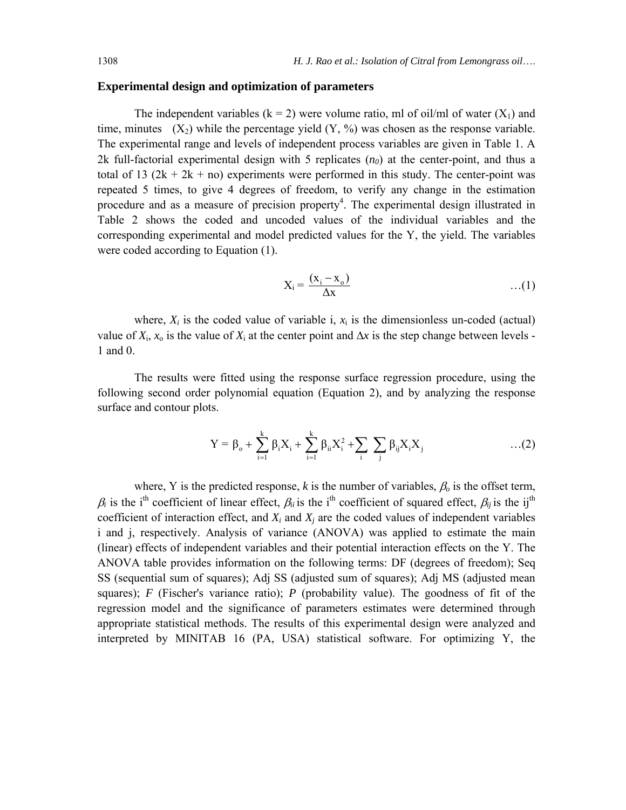#### **Experimental design and optimization of parameters**

The independent variables ( $k = 2$ ) were volume ratio, ml of oil/ml of water ( $X_1$ ) and time, minutes  $(X_2)$  while the percentage yield  $(Y, \%)$  was chosen as the response variable. The experimental range and levels of independent process variables are given in Table 1. A 2k full-factorial experimental design with 5 replicates  $(n_0)$  at the center-point, and thus a total of 13  $(2k + 2k + n)$  experiments were performed in this study. The center-point was repeated 5 times, to give 4 degrees of freedom, to verify any change in the estimation procedure and as a measure of precision property<sup>4</sup>. The experimental design illustrated in Table 2 shows the coded and uncoded values of the individual variables and the corresponding experimental and model predicted values for the Y, the yield. The variables were coded according to Equation (1).

$$
X_i = \frac{(x_i - x_o)}{\Delta x} \qquad \qquad \dots (1)
$$

where,  $X_i$  is the coded value of variable i,  $x_i$  is the dimensionless un-coded (actual) value of  $X_i$ ,  $x_0$  is the value of  $X_i$  at the center point and  $\Delta x$  is the step change between levels -1 and 0.

The results were fitted using the response surface regression procedure, using the following second order polynomial equation (Equation 2), and by analyzing the response surface and contour plots.

$$
Y = \beta_{o} + \sum_{i=1}^{k} \beta_{i} X_{i} + \sum_{i=1}^{k} \beta_{ii} X_{i}^{2} + \sum_{i} \sum_{j} \beta_{ij} X_{i} X_{j} \qquad \qquad \dots (2)
$$

where, Y is the predicted response, *k* is the number of variables,  $\beta_0$  is the offset term,  $\beta_i$  is the i<sup>th</sup> coefficient of linear effect,  $\beta_{ii}$  is the i<sup>th</sup> coefficient of squared effect,  $\beta_{ij}$  is the ij<sup>th</sup> coefficient of interaction effect, and  $X_i$  and  $X_j$  are the coded values of independent variables i and j, respectively. Analysis of variance (ANOVA) was applied to estimate the main (linear) effects of independent variables and their potential interaction effects on the Y. The ANOVA table provides information on the following terms: DF (degrees of freedom); Seq SS (sequential sum of squares); Adj SS (adjusted sum of squares); Adj MS (adjusted mean squares); *F* (Fischer's variance ratio); *P* (probability value). The goodness of fit of the regression model and the significance of parameters estimates were determined through appropriate statistical methods. The results of this experimental design were analyzed and interpreted by MINITAB 16 (PA, USA) statistical software. For optimizing Y, the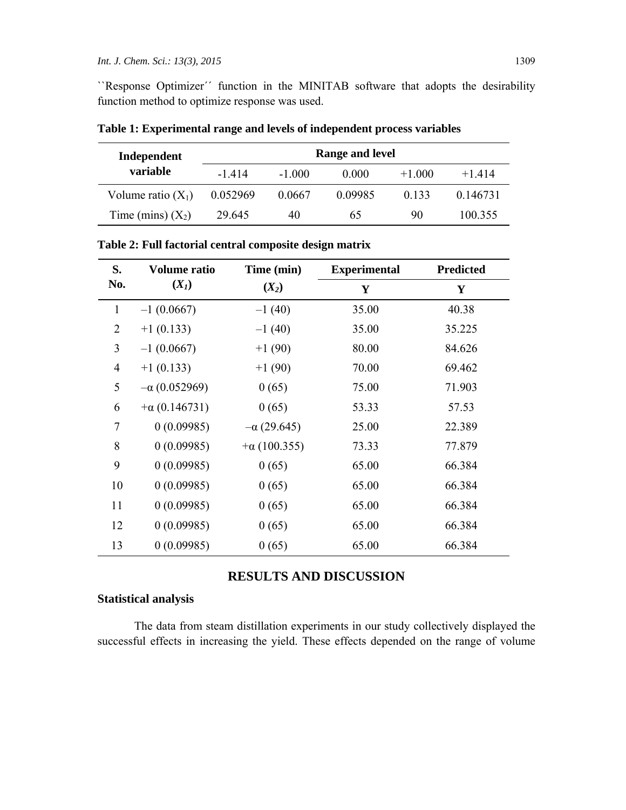``Response Optimizer´´ function in the MINITAB software that adopts the desirability function method to optimize response was used.

| Independent          | Range and level |         |         |          |          |
|----------------------|-----------------|---------|---------|----------|----------|
| variable             | -1414           | $-1000$ | 0.000   | $+1.000$ | $+1414$  |
| Volume ratio $(X_1)$ | 0.052969        | 0.0667  | 0.09985 | 0.133    | 0.146731 |
| Time (mins) $(X_2)$  | 29 645          | 40      | 65      | 90       | 100.355  |

**Table 1: Experimental range and levels of independent process variables** 

|  | Table 2: Full factorial central composite design matrix |
|--|---------------------------------------------------------|
|--|---------------------------------------------------------|

| S.             | <b>Volume ratio</b>  | Time (min)          | <b>Experimental</b> | <b>Predicted</b> |  |
|----------------|----------------------|---------------------|---------------------|------------------|--|
| No.            | $(X_I)$              | $(X_2)$             | Y                   | Y                |  |
| $\mathbf{1}$   | $-1(0.0667)$         | $-1(40)$            | 35.00               | 40.38            |  |
| $\overline{2}$ | $+1(0.133)$          | $-1(40)$            | 35.00               | 35.225           |  |
| 3              | $-1(0.0667)$         | $+1(90)$            | 80.00               | 84.626           |  |
| $\overline{4}$ | $+1(0.133)$          | $+1(90)$            | 70.00               | 69.462           |  |
| 5              | $-\alpha$ (0.052969) | 0(65)               | 75.00               | 71.903           |  |
| 6              | $+\alpha$ (0.146731) | 0(65)               | 53.33               | 57.53            |  |
| 7              | 0(0.09985)           | $-\alpha$ (29.645)  | 25.00               | 22.389           |  |
| 8              | 0(0.09985)           | $+\alpha$ (100.355) | 73.33               | 77.879           |  |
| 9              | 0(0.09985)           | 0(65)               | 65.00               | 66.384           |  |
| 10             | 0(0.09985)           | 0(65)               | 65.00               | 66.384           |  |
| 11             | 0(0.09985)           | 0(65)               | 65.00               | 66.384           |  |
| 12             | 0(0.09985)           | 0(65)               | 65.00               | 66.384           |  |
| 13             | 0(0.09985)           | 0(65)               | 65.00               | 66.384           |  |

# **RESULTS AND DISCUSSION**

# **Statistical analysis**

The data from steam distillation experiments in our study collectively displayed the successful effects in increasing the yield. These effects depended on the range of volume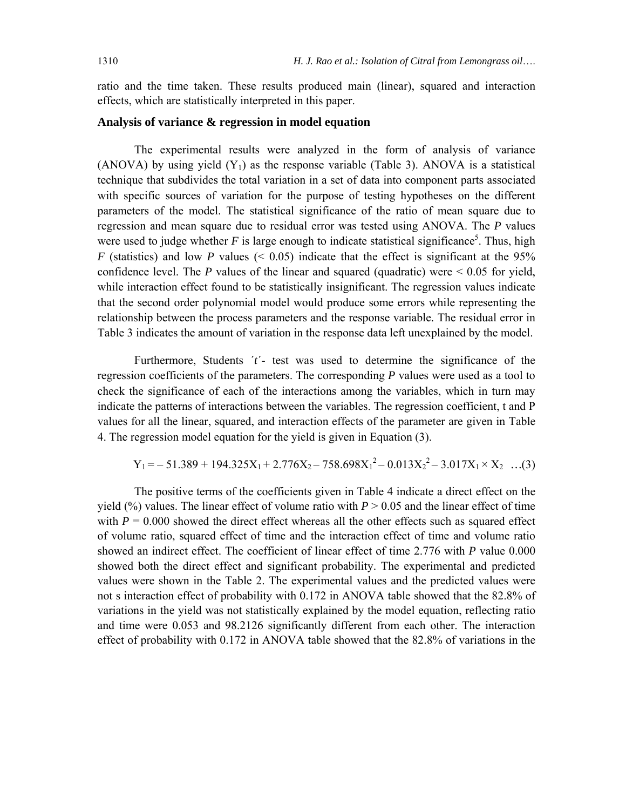ratio and the time taken. These results produced main (linear), squared and interaction effects, which are statistically interpreted in this paper.

#### **Analysis of variance & regression in model equation**

The experimental results were analyzed in the form of analysis of variance (ANOVA) by using yield  $(Y_1)$  as the response variable (Table 3). ANOVA is a statistical technique that subdivides the total variation in a set of data into component parts associated with specific sources of variation for the purpose of testing hypotheses on the different parameters of the model. The statistical significance of the ratio of mean square due to regression and mean square due to residual error was tested using ANOVA. The *P* values were used to judge whether  $F$  is large enough to indicate statistical significance<sup>5</sup>. Thus, high *F* (statistics) and low *P* values ( $\leq$  0.05) indicate that the effect is significant at the 95% confidence level. The  $P$  values of the linear and squared (quadratic) were  $\leq 0.05$  for yield, while interaction effect found to be statistically insignificant. The regression values indicate that the second order polynomial model would produce some errors while representing the relationship between the process parameters and the response variable. The residual error in Table 3 indicates the amount of variation in the response data left unexplained by the model.

Furthermore, Students ´*t*´- test was used to determine the significance of the regression coefficients of the parameters. The corresponding *P* values were used as a tool to check the significance of each of the interactions among the variables, which in turn may indicate the patterns of interactions between the variables. The regression coefficient, t and P values for all the linear, squared, and interaction effects of the parameter are given in Table 4. The regression model equation for the yield is given in Equation (3).

$$
Y_1 = -51.389 + 194.325X_1 + 2.776X_2 - 758.698X_1^2 - 0.013X_2^2 - 3.017X_1 \times X_2 \dots (3)
$$

The positive terms of the coefficients given in Table 4 indicate a direct effect on the yield (%) values. The linear effect of volume ratio with  $P > 0.05$  and the linear effect of time with  $P = 0.000$  showed the direct effect whereas all the other effects such as squared effect of volume ratio, squared effect of time and the interaction effect of time and volume ratio showed an indirect effect. The coefficient of linear effect of time 2.776 with *P* value 0.000 showed both the direct effect and significant probability. The experimental and predicted values were shown in the Table 2. The experimental values and the predicted values were not s interaction effect of probability with 0.172 in ANOVA table showed that the 82.8% of variations in the yield was not statistically explained by the model equation, reflecting ratio and time were 0.053 and 98.2126 significantly different from each other. The interaction effect of probability with 0.172 in ANOVA table showed that the 82.8% of variations in the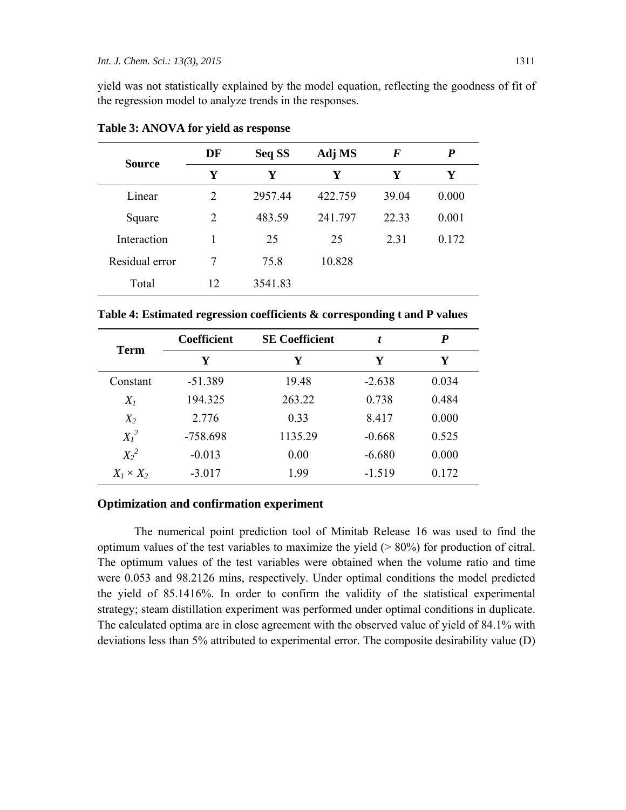yield was not statistically explained by the model equation, reflecting the goodness of fit of the regression model to analyze trends in the responses.

| DF             | Seq SS  | Adj MS  | $\bm{F}$ | P     |
|----------------|---------|---------|----------|-------|
| Y              | Y       | Y       | Y        | Y     |
| $\overline{2}$ | 2957.44 | 422.759 | 39.04    | 0.000 |
| 2              | 483.59  | 241.797 | 22.33    | 0.001 |
|                | 25      | 25      | 2.31     | 0.172 |
| 7              | 75.8    | 10.828  |          |       |
| 12             | 3541.83 |         |          |       |
|                |         |         |          |       |

**Table 3: ANOVA for yield as response** 

**Table 4: Estimated regression coefficients & corresponding t and P values** 

| <b>Term</b>      | <b>Coefficient</b> | <b>SE Coefficient</b> | t        | P     |
|------------------|--------------------|-----------------------|----------|-------|
|                  | Y                  | Y                     | Y        | Y     |
| Constant         | $-51.389$          | 19.48                 | $-2.638$ | 0.034 |
| $X_I$            | 194.325            | 263.22                | 0.738    | 0.484 |
| $X_2$            | 2.776              | 0.33                  | 8.417    | 0.000 |
| $X_l^2$          | $-758.698$         | 1135.29               | $-0.668$ | 0.525 |
| $X_2^2$          | $-0.013$           | 0.00                  | $-6.680$ | 0.000 |
| $X_1 \times X_2$ | $-3.017$           | 1.99                  | $-1.519$ | 0.172 |

#### **Optimization and confirmation experiment**

The numerical point prediction tool of Minitab Release 16 was used to find the optimum values of the test variables to maximize the yield  $($  > 80%) for production of citral. The optimum values of the test variables were obtained when the volume ratio and time were 0.053 and 98.2126 mins, respectively. Under optimal conditions the model predicted the yield of 85.1416%. In order to confirm the validity of the statistical experimental strategy; steam distillation experiment was performed under optimal conditions in duplicate. The calculated optima are in close agreement with the observed value of yield of 84.1% with deviations less than 5% attributed to experimental error. The composite desirability value (D)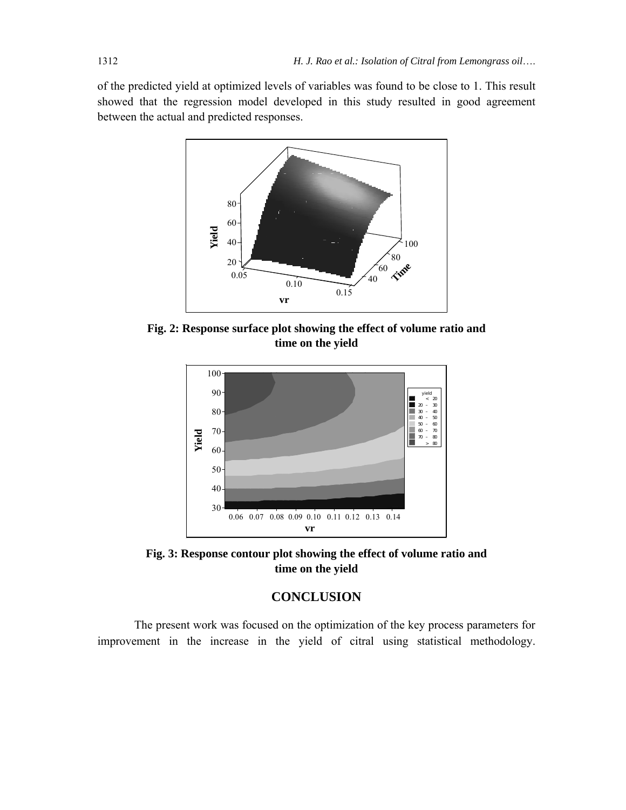of the predicted yield at optimized levels of variables was found to be close to 1. This result showed that the regression model developed in this study resulted in good agreement between the actual and predicted responses.



**Fig. 2: Response surface plot showing the effect of volume ratio and time on the yield** 



**Fig. 3: Response contour plot showing the effect of volume ratio and time on the yield** 

# **CONCLUSION**

The present work was focused on the optimization of the key process parameters for improvement in the increase in the yield of citral using statistical methodology.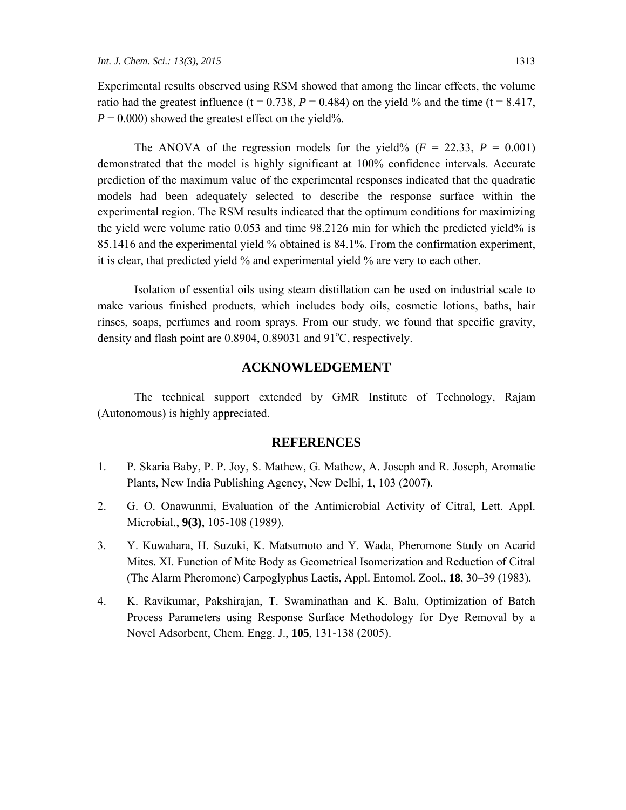Experimental results observed using RSM showed that among the linear effects, the volume ratio had the greatest influence (t =  $0.738$ ,  $P = 0.484$ ) on the yield % and the time (t =  $8.417$ ,  $P = 0.000$ ) showed the greatest effect on the yield%.

The ANOVA of the regression models for the yield% ( $F = 22.33$ ,  $P = 0.001$ ) demonstrated that the model is highly significant at 100% confidence intervals. Accurate prediction of the maximum value of the experimental responses indicated that the quadratic models had been adequately selected to describe the response surface within the experimental region. The RSM results indicated that the optimum conditions for maximizing the yield were volume ratio 0.053 and time 98.2126 min for which the predicted yield% is 85.1416 and the experimental yield % obtained is 84.1%. From the confirmation experiment, it is clear, that predicted yield % and experimental yield % are very to each other.

Isolation of essential oils using steam distillation can be used on industrial scale to make various finished products, which includes body oils, cosmetic lotions, baths, hair rinses, soaps, perfumes and room sprays. From our study, we found that specific gravity, density and flash point are  $0.8904$ ,  $0.89031$  and  $91^{\circ}$ C, respectively.

### **ACKNOWLEDGEMENT**

The technical support extended by GMR Institute of Technology, Rajam (Autonomous) is highly appreciated.

#### **REFERENCES**

- 1. P. Skaria Baby, P. P. Joy, S. Mathew, G. Mathew, A. Joseph and R. Joseph, Aromatic Plants, New India Publishing Agency, New Delhi, **1**, 103 (2007).
- 2. G. O. Onawunmi, Evaluation of the Antimicrobial Activity of Citral, Lett. Appl. Microbial., **9(3)**, 105-108 (1989).
- 3. Y. Kuwahara, H. Suzuki, K. Matsumoto and Y. Wada, Pheromone Study on Acarid Mites. XI. Function of Mite Body as Geometrical Isomerization and Reduction of Citral (The Alarm Pheromone) Carpoglyphus Lactis, Appl. Entomol. Zool., **18**, 30–39 (1983).
- 4. K. Ravikumar, Pakshirajan, T. Swaminathan and K. Balu, Optimization of Batch Process Parameters using Response Surface Methodology for Dye Removal by a Novel Adsorbent, Chem. Engg. J., **105**, 131-138 (2005).